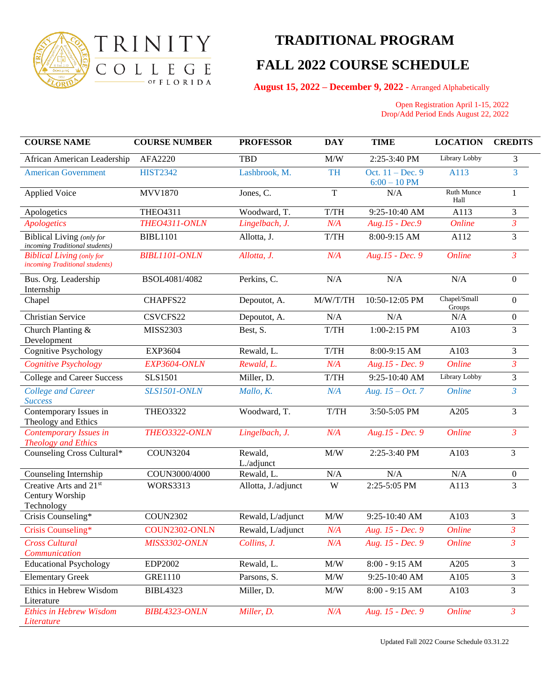

## **TRADITIONAL PROGRAM FALL 2022 COURSE SCHEDULE**

 **August 15, 2022 – December 9, 2022** - Arranged Alphabetically

 Open Registration April 1-15, 2022 Drop/Add Period Ends August 22, 2022

| <b>COURSE NAME</b>                                                  | <b>COURSE NUMBER</b> | <b>PROFESSOR</b>      | <b>DAY</b>          | <b>TIME</b>                         | <b>LOCATION</b>        | <b>CREDITS</b>   |
|---------------------------------------------------------------------|----------------------|-----------------------|---------------------|-------------------------------------|------------------------|------------------|
| African American Leadership                                         | AFA2220              | <b>TBD</b>            | M/W                 | 2:25-3:40 PM                        | Library Lobby          | 3                |
| <b>American Government</b>                                          | <b>HIST2342</b>      | Lashbrook, M.         | <b>TH</b>           | Oct. $11 - Dec.9$<br>$6:00 - 10$ PM | A113                   | 3                |
| <b>Applied Voice</b>                                                | MVV1870              | Jones, C.             | $\mathbf T$         | N/A                                 | Ruth Munce<br>Hall     | 1                |
| Apologetics                                                         | <b>THEO4311</b>      | Woodward, T.          | T/TH                | 9:25-10:40 AM                       | A113                   | 3                |
| <b>Apologetics</b>                                                  | THEO4311-ONLN        | Lingelbach, J.        | N/A                 | $Aug.15 - Dec.9$                    | <b>Online</b>          | $\mathfrak{Z}$   |
| <b>Biblical Living (only for</b><br>incoming Traditional students)  | <b>BIBL1101</b>      | Allotta, J.           | T/TH                | 8:00-9:15 AM                        | A112                   | $\overline{3}$   |
| <b>Biblical Living (only for</b><br>incoming Traditional students)  | <b>BIBL1101-ONLN</b> | Allotta, J.           | N/A                 | Aug.15 - Dec. 9                     | <b>Online</b>          | $\mathfrak{Z}$   |
| Bus. Org. Leadership<br>Internship                                  | BSOL4081/4082        | Perkins, C.           | N/A                 | N/A                                 | N/A                    | $\overline{0}$   |
| Chapel                                                              | CHAPFS22             | Depoutot, A.          | M/W/T/TH            | 10:50-12:05 PM                      | Chapel/Small<br>Groups | $\Omega$         |
| <b>Christian Service</b>                                            | CSVCFS22             | Depoutot, A.          | N/A                 | N/A                                 | N/A                    | $\mathbf{0}$     |
| Church Planting &<br>Development                                    | MISS2303             | Best, S.              | T/TH                | 1:00-2:15 PM                        | A103                   | 3                |
| Cognitive Psychology                                                | <b>EXP3604</b>       | Rewald, L.            | T/TH                | 8:00-9:15 AM                        | A103                   | $\overline{3}$   |
| Cognitive Psychology                                                | EXP3604-ONLN         | Rewald, L.            | N/A                 | Aug.15 - Dec. 9                     | <b>Online</b>          | $\overline{3}$   |
| <b>College and Career Success</b>                                   | <b>SLS1501</b>       | Miller, D.            | T/TH                | 9:25-10:40 AM                       | Library Lobby          | 3                |
| <b>College and Career</b><br><b>Success</b>                         | <b>SLS1501-ONLN</b>  | Mallo, K.             | N/A                 | Aug. $15 - Oct. 7$                  | <b>Online</b>          | $\overline{3}$   |
| Contemporary Issues in<br>Theology and Ethics                       | <b>THEO3322</b>      | Woodward, T.          | $T/TH$              | 3:50-5:05 PM                        | A205                   | $\overline{3}$   |
| Contemporary Issues in<br><b>Theology and Ethics</b>                | <b>THEO3322-ONLN</b> | Lingelbach, J.        | N/A                 | Aug.15 - Dec. 9                     | <b>Online</b>          | $\mathfrak{Z}$   |
| Counseling Cross Cultural*                                          | <b>COUN3204</b>      | Rewald,<br>L./adjunct | M/W                 | 2:25-3:40 PM                        | A103                   | $\overline{3}$   |
| Counseling Internship                                               | COUN3000/4000        | Rewald, L.            | N/A                 | N/A                                 | N/A                    | $\boldsymbol{0}$ |
| Creative Arts and 21 <sup>st</sup><br>Century Worship<br>Technology | <b>WORS3313</b>      | Allotta, J./adjunct   | W                   | 2:25-5:05 PM                        | A113                   | 3                |
| Crisis Counseling*                                                  | <b>COUN2302</b>      | Rewald, L/adjunct     | $\text{M}/\text{W}$ | 9:25-10:40 AM                       | A103                   | 3                |
| Crisis Counseling*                                                  | COUN2302-ONLN        | Rewald, L/adjunct     | N/A                 | Aug. 15 - Dec. 9                    | <b>Online</b>          | $\mathfrak{Z}$   |
| <b>Cross Cultural</b><br>Communication                              | <b>MISS3302-ONLN</b> | Collins, J.           | N/A                 | Aug. 15 - Dec. 9                    | <b>Online</b>          | $\mathfrak{Z}$   |
| <b>Educational Psychology</b>                                       | EDP2002              | Rewald, L.            | M/W                 | $8:00 - 9:15$ AM                    | A205                   | 3                |
| <b>Elementary Greek</b>                                             | GRE1110              | Parsons, S.           | M/W                 | 9:25-10:40 AM                       | A105                   | 3                |
| Ethics in Hebrew Wisdom<br>Literature                               | <b>BIBL4323</b>      | Miller, D.            | M/W                 | $8:00 - 9:15 AM$                    | A103                   | 3                |
| <b>Ethics in Hebrew Wisdom</b><br>Literature                        | BIBL4323-ONLN        | Miller, D.            | N/A                 | Aug. 15 - Dec. 9                    | <b>Online</b>          | $\mathfrak{Z}$   |

Updated Fall 2022 Course Schedule 03.31.22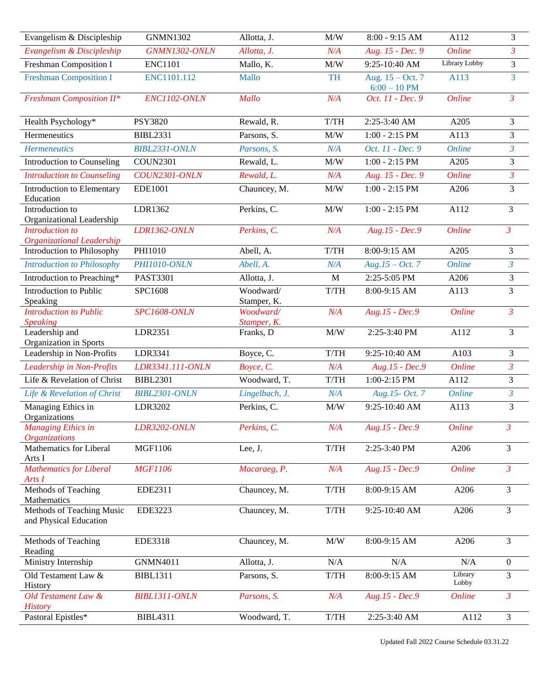| Evangelism & Discipleship                           | <b>GNMN1302</b>      | Allotta, J.              | M/W                                                                              | $8:00 - 9:15 AM$                     | A112                 | 3              |
|-----------------------------------------------------|----------------------|--------------------------|----------------------------------------------------------------------------------|--------------------------------------|----------------------|----------------|
| Evangelism & Discipleship                           | GNMN1302-ONLN        | Allotta, J.              | N/A                                                                              | Aug. 15 - Dec. 9                     | <b>Online</b>        | $\overline{3}$ |
| Freshman Composition I                              | <b>ENC1101</b>       | Mallo, K.                | M/W                                                                              | 9:25-10:40 AM                        | Library Lobby        | 3              |
| <b>Freshman Composition I</b>                       | ENC1101.112          | <b>Mallo</b>             | <b>TH</b>                                                                        | Aug. $15 - Oct. 7$<br>$6:00 - 10$ PM | A113                 | $\overline{3}$ |
| <b>Freshman Composition II*</b>                     | ENC1102-ONLN         | <b>Mallo</b>             | N/A                                                                              | Oct. 11 - Dec. 9                     | <b>Online</b>        | $\mathfrak{Z}$ |
| Health Psychology*                                  | <b>PSY3820</b>       | Rewald, R.               | T/TH                                                                             | 2:25-3:40 AM                         | A205                 | 3              |
| Hermeneutics                                        | <b>BIBL2331</b>      | Parsons, S.              | M/W                                                                              | $1:00 - 2:15$ PM                     | A113                 | $\mathfrak{Z}$ |
| <b>Hermeneutics</b>                                 | <b>BIBL2331-ONLN</b> | Parsons, S.              | N/A                                                                              | Oct. 11 - Dec. 9                     | <b>Online</b>        | $\overline{3}$ |
| Introduction to Counseling                          | <b>COUN2301</b>      | Rewald, L.               | $\text{M}/\text{W}$                                                              | $1:00 - 2:15$ PM                     | A205                 | $\overline{3}$ |
| <b>Introduction to Counseling</b>                   | COUN2301-ONLN        | Rewald, L.               | N/A                                                                              | Aug. 15 - Dec. 9                     | <b>Online</b>        | $\overline{3}$ |
| Introduction to Elementary<br>Education             | EDE1001              | Chauncey, M.             | M/W                                                                              | $1:00 - 2:15$ PM                     | A206                 | 3              |
| Introduction to<br>Organizational Leadership        | LDR1362              | Perkins, C.              | $\text{M}/\text{W}$                                                              | $1:00 - 2:15$ PM                     | A112                 | 3              |
| Introduction to<br><b>Organizational Leadership</b> | <b>LDR1362-ONLN</b>  | Perkins, C.              | N/A                                                                              | $Aug.15 - Dec.9$                     | <b>Online</b>        | $\overline{3}$ |
| Introduction to Philosophy                          | PHI1010              | Abell, A.                | T/TH                                                                             | 8:00-9:15 AM                         | A205                 | 3              |
| <b>Introduction to Philosophy</b>                   | PHI1010-ONLN         | Abell, A.                | N/A                                                                              | $Aug.15 - Oct.7$                     | <b>Online</b>        | $\mathfrak{Z}$ |
| Introduction to Preaching*                          | PAST3301             | Allotta, J.              | $\mathbf M$                                                                      | 2:25-5:05 PM                         | A206                 | 3              |
| Introduction to Public<br>Speaking                  | SPC1608              | Woodward/<br>Stamper, K. | $T/TH$                                                                           | 8:00-9:15 AM                         | A113                 | 3              |
| <b>Introduction to Public</b><br><b>Speaking</b>    | <b>SPC1608-ONLN</b>  | Woodward/<br>Stamper, K. | N/A                                                                              | Aug.15 - Dec.9                       | <b>Online</b>        | $\mathfrak{Z}$ |
| Leadership and<br>Organization in Sports            | LDR2351              | Franks, D                | M/W                                                                              | 2:25-3:40 PM                         | A112                 | 3              |
| Leadership in Non-Profits                           | LDR3341              | Boyce, C.                | $T/TH$                                                                           | 9:25-10:40 AM                        | A103                 | 3              |
| Leadership in Non-Profits                           | LDR3341.111-ONLN     | Boyce, C.                | N/A                                                                              | Aug.15 - Dec.9                       | <b>Online</b>        | $\overline{3}$ |
| Life & Revelation of Christ                         | <b>BIBL2301</b>      | Woodward, T.             | $T/TH$                                                                           | 1:00-2:15 PM                         | A112                 | 3              |
| Life & Revelation of Christ                         | BIBL2301-ONLN        | Lingelbach, J.           | N/A                                                                              | Aug.15- Oct. 7                       | <b>Online</b>        | $\overline{3}$ |
| Managing Ethics in<br>Organizations                 | LDR3202              | Perkins, C.              | M/W                                                                              | 9:25-10:40 AM                        | A113                 | 3              |
| <b>Managing Ethics in</b><br><b>Organizations</b>   | LDR3202-ONLN         | Perkins, C.              | N/A                                                                              | Aug.15 - Dec.9                       | <i><b>Online</b></i> | 3              |
| Mathematics for Liberal<br>Arts I                   | MGF1106              | Lee, J.                  | $T/TH$                                                                           | 2:25-3:40 PM                         | A206                 | $\overline{3}$ |
| <b>Mathematics for Liberal</b><br>Arts I            | <b>MGF1106</b>       | Macaraeg, P.             | N/A                                                                              | $Aug.15 - Dec.9$                     | <b>Online</b>        | $\mathfrak{Z}$ |
| Methods of Teaching<br>Mathematics                  | EDE2311              | Chauncey, M.             | $T/TH$                                                                           | 8:00-9:15 AM                         | A206                 | $\overline{3}$ |
| Methods of Teaching Music<br>and Physical Education | EDE3223              | Chauncey, M.             | $T/TH$                                                                           | 9:25-10:40 AM                        | A206                 | $\overline{3}$ |
| Methods of Teaching<br>Reading                      | EDE3318              | Chauncey, M.             | M/W                                                                              | 8:00-9:15 AM                         | A206                 | 3              |
| Ministry Internship                                 | <b>GNMN4011</b>      | Allotta, J.              | N/A                                                                              | N/A                                  | N/A                  | $\overline{0}$ |
| Old Testament Law &<br>History                      | <b>BIBL1311</b>      | Parsons, S.              | $T/TH$                                                                           | 8:00-9:15 AM                         | Library<br>Lobby     | 3              |
| Old Testament Law &<br><b>History</b>               | <b>BIBL1311-ONLN</b> | Parsons, S.              | N/A                                                                              | Aug.15 - Dec.9                       | Online               | $\mathfrak{Z}$ |
| Pastoral Epistles*                                  | <b>BIBL4311</b>      | Woodward, T.             | $\ensuremath{\text{T}}\xspace/\ensuremath{\text{T}}\xspace\ensuremath{\text{H}}$ | 2:25-3:40 AM                         | A112                 | $\mathfrak{Z}$ |